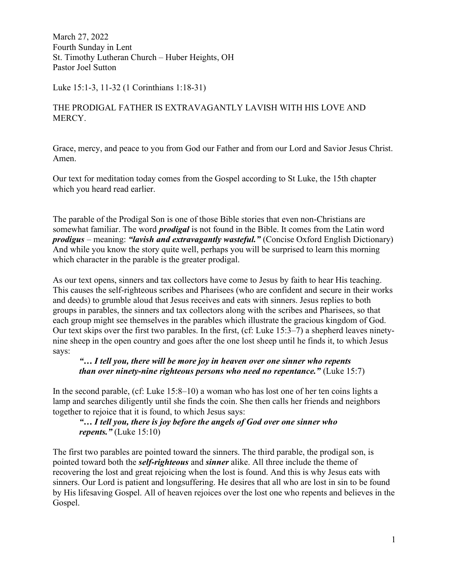March 27, 2022 Fourth Sunday in Lent St. Timothy Lutheran Church – Huber Heights, OH Pastor Joel Sutton

Luke 15:1-3, 11-32 (1 Corinthians 1:18-31)

# THE PRODIGAL FATHER IS EXTRAVAGANTLY LAVISH WITH HIS LOVE AND MERCY.

Grace, mercy, and peace to you from God our Father and from our Lord and Savior Jesus Christ. Amen.

Our text for meditation today comes from the Gospel according to St Luke, the 15th chapter which you heard read earlier.

The parable of the Prodigal Son is one of those Bible stories that even non-Christians are somewhat familiar. The word *prodigal* is not found in the Bible. It comes from the Latin word prodigus – meaning: "lavish and extravagantly wasteful." (Concise Oxford English Dictionary) And while you know the story quite well, perhaps you will be surprised to learn this morning which character in the parable is the greater prodigal.

As our text opens, sinners and tax collectors have come to Jesus by faith to hear His teaching. This causes the self-righteous scribes and Pharisees (who are confident and secure in their works and deeds) to grumble aloud that Jesus receives and eats with sinners. Jesus replies to both groups in parables, the sinners and tax collectors along with the scribes and Pharisees, so that each group might see themselves in the parables which illustrate the gracious kingdom of God. Our text skips over the first two parables. In the first, (cf: Luke 15:3–7) a shepherd leaves ninetynine sheep in the open country and goes after the one lost sheep until he finds it, to which Jesus says:

## "… I tell you, there will be more joy in heaven over one sinner who repents than over ninety-nine righteous persons who need no repentance." (Luke 15:7)

In the second parable, (cf: Luke 15:8–10) a woman who has lost one of her ten coins lights a lamp and searches diligently until she finds the coin. She then calls her friends and neighbors together to rejoice that it is found, to which Jesus says:

## "… I tell you, there is joy before the angels of God over one sinner who repents." (Luke  $15:10$ )

The first two parables are pointed toward the sinners. The third parable, the prodigal son, is pointed toward both the *self-righteous* and *sinner* alike. All three include the theme of recovering the lost and great rejoicing when the lost is found. And this is why Jesus eats with sinners. Our Lord is patient and longsuffering. He desires that all who are lost in sin to be found by His lifesaving Gospel. All of heaven rejoices over the lost one who repents and believes in the Gospel.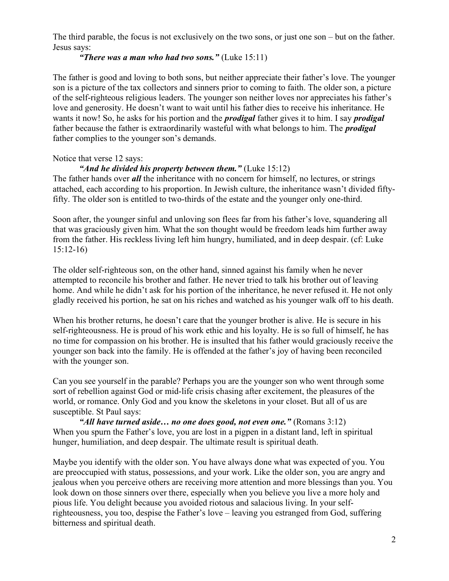The third parable, the focus is not exclusively on the two sons, or just one son – but on the father. Jesus says:

### "There was a man who had two sons." (Luke  $15:11$ )

The father is good and loving to both sons, but neither appreciate their father's love. The younger son is a picture of the tax collectors and sinners prior to coming to faith. The older son, a picture of the self-righteous religious leaders. The younger son neither loves nor appreciates his father's love and generosity. He doesn't want to wait until his father dies to receive his inheritance. He wants it now! So, he asks for his portion and the *prodigal* father gives it to him. I say *prodigal* father because the father is extraordinarily wasteful with what belongs to him. The *prodigal* father complies to the younger son's demands.

## Notice that verse 12 says:

#### "And he divided his property between them." (Luke  $15:12$ )

The father hands over *all* the inheritance with no concern for himself, no lectures, or strings attached, each according to his proportion. In Jewish culture, the inheritance wasn't divided fiftyfifty. The older son is entitled to two-thirds of the estate and the younger only one-third.

Soon after, the younger sinful and unloving son flees far from his father's love, squandering all that was graciously given him. What the son thought would be freedom leads him further away from the father. His reckless living left him hungry, humiliated, and in deep despair. (cf: Luke 15:12-16)

The older self-righteous son, on the other hand, sinned against his family when he never attempted to reconcile his brother and father. He never tried to talk his brother out of leaving home. And while he didn't ask for his portion of the inheritance, he never refused it. He not only gladly received his portion, he sat on his riches and watched as his younger walk off to his death.

When his brother returns, he doesn't care that the younger brother is alive. He is secure in his self-righteousness. He is proud of his work ethic and his loyalty. He is so full of himself, he has no time for compassion on his brother. He is insulted that his father would graciously receive the younger son back into the family. He is offended at the father's joy of having been reconciled with the younger son.

Can you see yourself in the parable? Perhaps you are the younger son who went through some sort of rebellion against God or mid-life crisis chasing after excitement, the pleasures of the world, or romance. Only God and you know the skeletons in your closet. But all of us are susceptible. St Paul says:

"All have turned aside... no one does good, not even one." (Romans  $3:12$ ) When you spurn the Father's love, you are lost in a pigpen in a distant land, left in spiritual hunger, humiliation, and deep despair. The ultimate result is spiritual death.

Maybe you identify with the older son. You have always done what was expected of you. You are preoccupied with status, possessions, and your work. Like the older son, you are angry and jealous when you perceive others are receiving more attention and more blessings than you. You look down on those sinners over there, especially when you believe you live a more holy and pious life. You delight because you avoided riotous and salacious living. In your selfrighteousness, you too, despise the Father's love – leaving you estranged from God, suffering bitterness and spiritual death.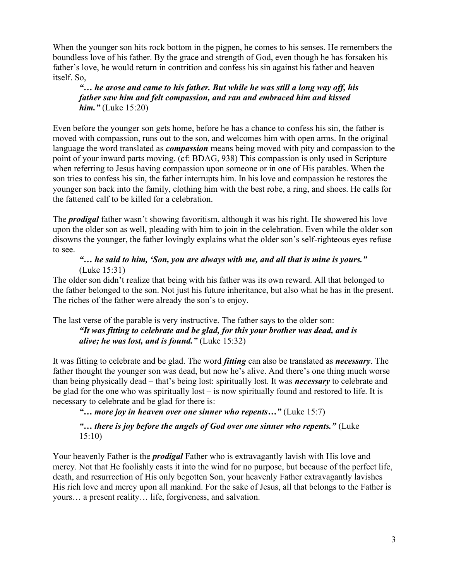When the younger son hits rock bottom in the pigpen, he comes to his senses. He remembers the boundless love of his father. By the grace and strength of God, even though he has forsaken his father's love, he would return in contrition and confess his sin against his father and heaven itself. So,

"… he arose and came to his father. But while he was still a long way off, his father saw him and felt compassion, and ran and embraced him and kissed **him.**" (Luke 15:20)

Even before the younger son gets home, before he has a chance to confess his sin, the father is moved with compassion, runs out to the son, and welcomes him with open arms. In the original language the word translated as *compassion* means being moved with pity and compassion to the point of your inward parts moving. (cf: BDAG, 938) This compassion is only used in Scripture when referring to Jesus having compassion upon someone or in one of His parables. When the son tries to confess his sin, the father interrupts him. In his love and compassion he restores the younger son back into the family, clothing him with the best robe, a ring, and shoes. He calls for the fattened calf to be killed for a celebration.

The **prodigal** father wasn't showing favoritism, although it was his right. He showered his love upon the older son as well, pleading with him to join in the celebration. Even while the older son disowns the younger, the father lovingly explains what the older son's self-righteous eyes refuse to see.

#### "… he said to him, 'Son, you are always with me, and all that is mine is yours." (Luke 15:31)

The older son didn't realize that being with his father was its own reward. All that belonged to the father belonged to the son. Not just his future inheritance, but also what he has in the present. The riches of the father were already the son's to enjoy.

The last verse of the parable is very instructive. The father says to the older son: "It was fitting to celebrate and be glad, for this your brother was dead, and is alive; he was lost, and is found." (Luke  $15:32$ )

It was fitting to celebrate and be glad. The word *fitting* can also be translated as *necessary*. The father thought the younger son was dead, but now he's alive. And there's one thing much worse than being physically dead – that's being lost: spiritually lost. It was *necessary* to celebrate and be glad for the one who was spiritually lost – is now spiritually found and restored to life. It is necessary to celebrate and be glad for there is:

"... more joy in heaven over one sinner who repents..." (Luke  $15:7$ )

### "... there is joy before the angels of God over one sinner who repents." (Luke 15:10)

Your heavenly Father is the *prodigal* Father who is extravagantly lavish with His love and mercy. Not that He foolishly casts it into the wind for no purpose, but because of the perfect life, death, and resurrection of His only begotten Son, your heavenly Father extravagantly lavishes His rich love and mercy upon all mankind. For the sake of Jesus, all that belongs to the Father is yours… a present reality… life, forgiveness, and salvation.